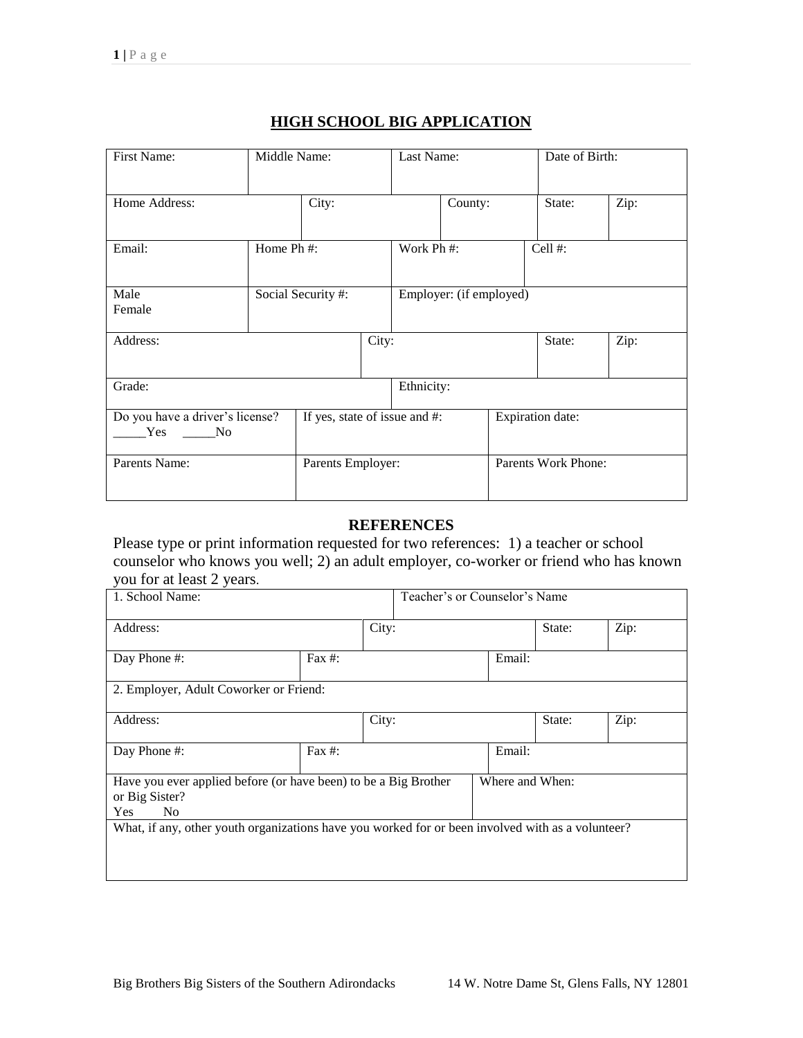| First Name:                                  |                    | Middle Name:                  |                         | Last Name:                 |         | Date of Birth:   |        |      |
|----------------------------------------------|--------------------|-------------------------------|-------------------------|----------------------------|---------|------------------|--------|------|
| Home Address:                                |                    | City:                         |                         |                            | County: |                  | State: | Zip: |
| Email:                                       | Home Ph #:         |                               |                         | Work Ph #:                 |         | Cell #:          |        |      |
| Male<br>Female                               | Social Security #: |                               | Employer: (if employed) |                            |         |                  |        |      |
| Address:                                     |                    | City:                         |                         |                            |         | State:           | Zip:   |      |
| Grade:                                       |                    |                               |                         | Ethnicity:                 |         |                  |        |      |
| Do you have a driver's license?<br>Yes<br>No |                    | If yes, state of issue and #: |                         |                            |         | Expiration date: |        |      |
| Parents Name:<br>Parents Employer:           |                    |                               |                         | <b>Parents Work Phone:</b> |         |                  |        |      |

## **HIGH SCHOOL BIG APPLICATION**

## **REFERENCES**

Please type or print information requested for two references: 1) a teacher or school counselor who knows you well; 2) an adult employer, co-worker or friend who has known you for at least 2 years.

| 1. School Name:                                                                                                   |           |       | Teacher's or Counselor's Name |                 |        |      |  |
|-------------------------------------------------------------------------------------------------------------------|-----------|-------|-------------------------------|-----------------|--------|------|--|
| Address:                                                                                                          |           | City: |                               | State:          | Zip:   |      |  |
| Day Phone #:                                                                                                      | Fax $#$ : |       |                               | Email:          |        |      |  |
| 2. Employer, Adult Coworker or Friend:                                                                            |           |       |                               |                 |        |      |  |
| Address:                                                                                                          |           | City: |                               |                 | State: | Zip: |  |
| Day Phone #:                                                                                                      | Fax $#$ : |       |                               | Email:          |        |      |  |
| Have you ever applied before (or have been) to be a Big Brother<br>or Big Sister?<br><b>Yes</b><br>N <sub>o</sub> |           |       |                               | Where and When: |        |      |  |
| What, if any, other youth organizations have you worked for or been involved with as a volunteer?                 |           |       |                               |                 |        |      |  |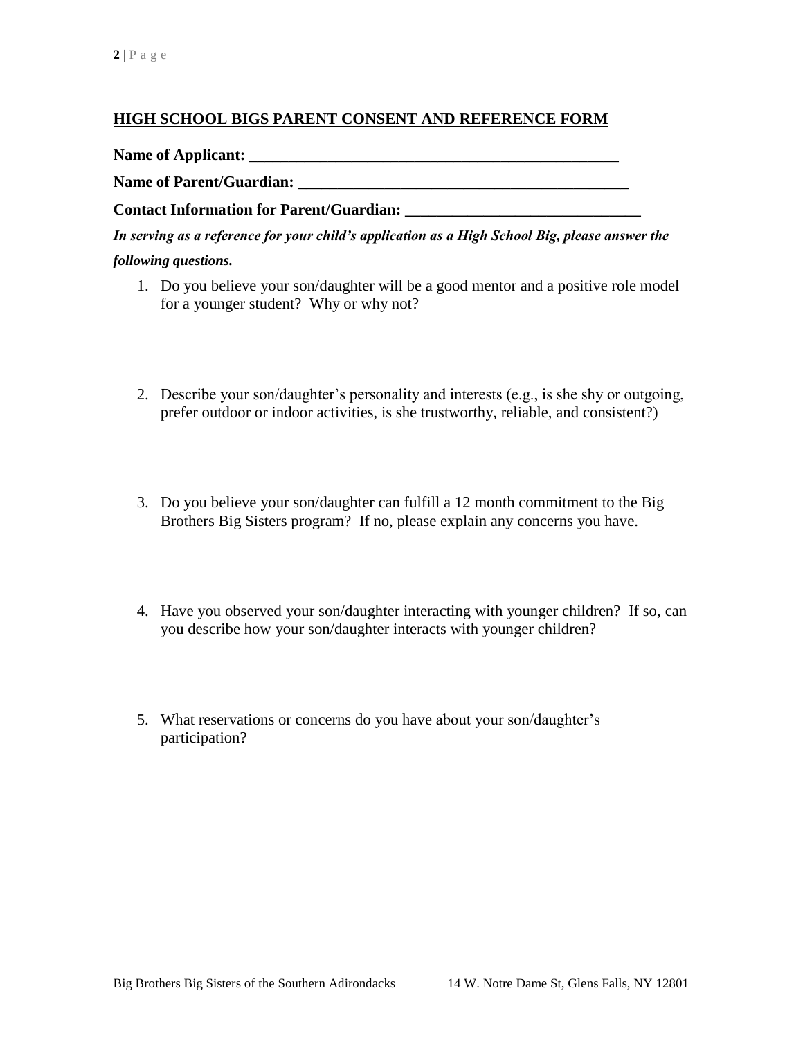## **HIGH SCHOOL BIGS PARENT CONSENT AND REFERENCE FORM**

**Name of Applicant: \_\_\_\_\_\_\_\_\_\_\_\_\_\_\_\_\_\_\_\_\_\_\_\_\_\_\_\_\_\_\_\_\_\_\_\_\_\_\_\_\_\_\_\_\_\_\_**

**Name of Parent/Guardian: \_\_\_\_\_\_\_\_\_\_\_\_\_\_\_\_\_\_\_\_\_\_\_\_\_\_\_\_\_\_\_\_\_\_\_\_\_\_\_\_\_\_**

**Contact Information for Parent/Guardian: \_\_\_\_\_\_\_\_\_\_\_\_\_\_\_\_\_\_\_\_\_\_\_\_\_\_\_\_\_\_**

*In serving as a reference for your child's application as a High School Big, please answer the following questions.* 

- 1. Do you believe your son/daughter will be a good mentor and a positive role model for a younger student? Why or why not?
- 2. Describe your son/daughter's personality and interests (e.g., is she shy or outgoing, prefer outdoor or indoor activities, is she trustworthy, reliable, and consistent?)
- 3. Do you believe your son/daughter can fulfill a 12 month commitment to the Big Brothers Big Sisters program? If no, please explain any concerns you have.
- 4. Have you observed your son/daughter interacting with younger children? If so, can you describe how your son/daughter interacts with younger children?
- 5. What reservations or concerns do you have about your son/daughter's participation?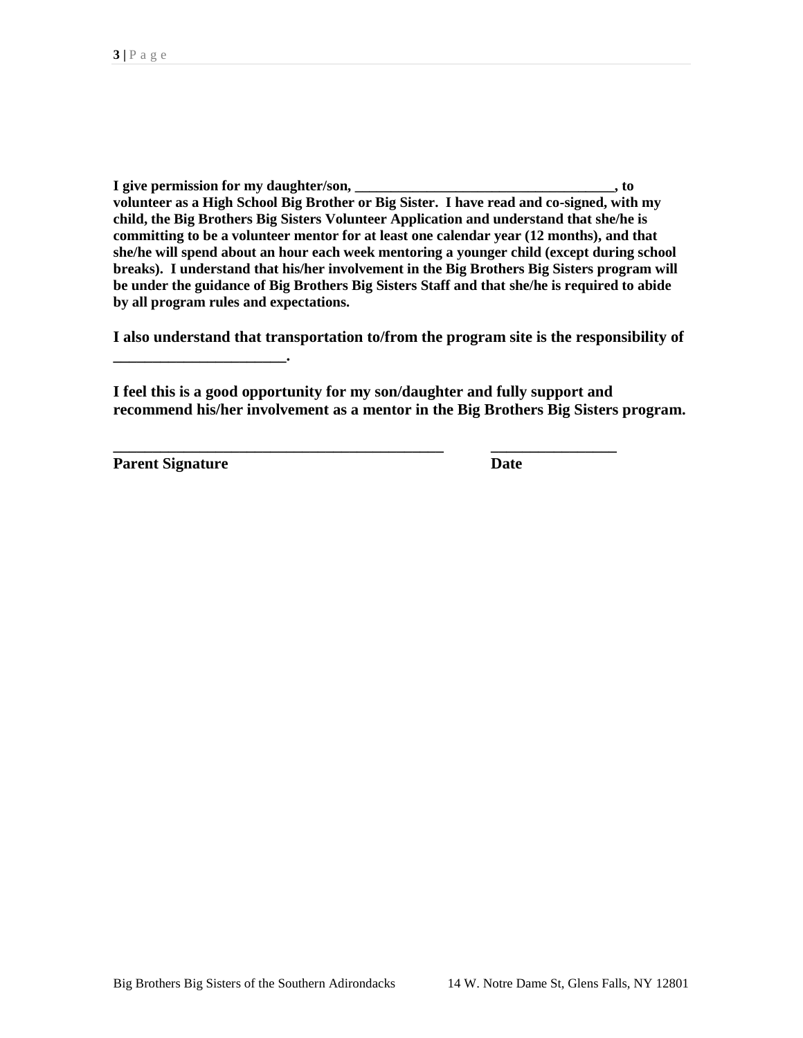**I give permission for my daughter/son, \_\_\_\_\_\_\_\_\_\_\_\_\_\_\_\_\_\_\_\_\_\_\_\_\_\_\_\_\_\_\_\_\_\_\_\_, to volunteer as a High School Big Brother or Big Sister. I have read and co-signed, with my child, the Big Brothers Big Sisters Volunteer Application and understand that she/he is committing to be a volunteer mentor for at least one calendar year (12 months), and that she/he will spend about an hour each week mentoring a younger child (except during school breaks). I understand that his/her involvement in the Big Brothers Big Sisters program will be under the guidance of Big Brothers Big Sisters Staff and that she/he is required to abide by all program rules and expectations.** 

**I also understand that transportation to/from the program site is the responsibility of** 

**I feel this is a good opportunity for my son/daughter and fully support and recommend his/her involvement as a mentor in the Big Brothers Big Sisters program.** 

**\_\_\_\_\_\_\_\_\_\_\_\_\_\_\_\_\_\_\_\_\_\_\_\_\_\_\_\_\_\_\_\_\_\_\_\_\_\_\_\_\_\_ \_\_\_\_\_\_\_\_\_\_\_\_\_\_\_\_**

**Parent Signature Date** 

**\_\_\_\_\_\_\_\_\_\_\_\_\_\_\_\_\_\_\_\_\_\_.**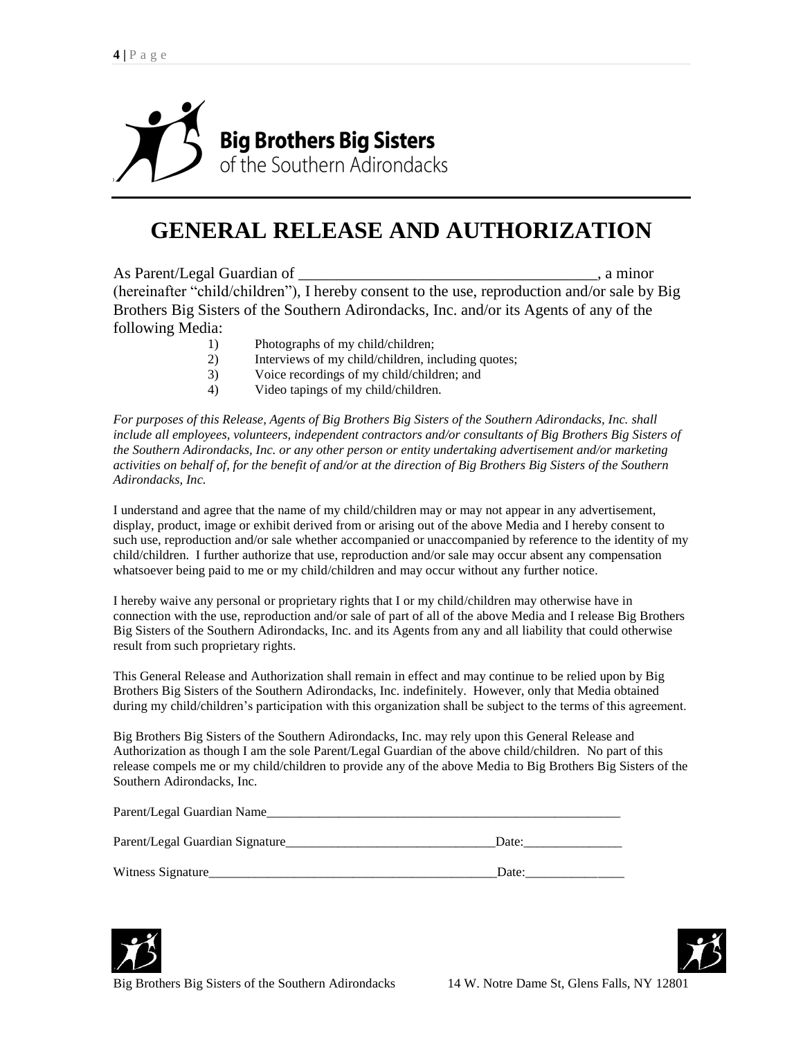

## **GENERAL RELEASE AND AUTHORIZATION**

As Parent/Legal Guardian of \_\_\_\_\_\_\_\_\_\_\_\_\_\_\_\_\_\_\_\_\_\_\_\_\_\_\_\_\_\_\_\_\_\_\_\_\_\_, a minor (hereinafter "child/children"), I hereby consent to the use, reproduction and/or sale by Big Brothers Big Sisters of the Southern Adirondacks, Inc. and/or its Agents of any of the following Media:

- 1) Photographs of my child/children;
- 2) Interviews of my child/children, including quotes;
- 3) Voice recordings of my child/children; and
- 4) Video tapings of my child/children.

*For purposes of this Release, Agents of Big Brothers Big Sisters of the Southern Adirondacks, Inc. shall include all employees, volunteers, independent contractors and/or consultants of Big Brothers Big Sisters of the Southern Adirondacks, Inc. or any other person or entity undertaking advertisement and/or marketing activities on behalf of, for the benefit of and/or at the direction of Big Brothers Big Sisters of the Southern Adirondacks, Inc.* 

I understand and agree that the name of my child/children may or may not appear in any advertisement, display, product, image or exhibit derived from or arising out of the above Media and I hereby consent to such use, reproduction and/or sale whether accompanied or unaccompanied by reference to the identity of my child/children. I further authorize that use, reproduction and/or sale may occur absent any compensation whatsoever being paid to me or my child/children and may occur without any further notice.

I hereby waive any personal or proprietary rights that I or my child/children may otherwise have in connection with the use, reproduction and/or sale of part of all of the above Media and I release Big Brothers Big Sisters of the Southern Adirondacks, Inc. and its Agents from any and all liability that could otherwise result from such proprietary rights.

This General Release and Authorization shall remain in effect and may continue to be relied upon by Big Brothers Big Sisters of the Southern Adirondacks, Inc. indefinitely. However, only that Media obtained during my child/children's participation with this organization shall be subject to the terms of this agreement.

Big Brothers Big Sisters of the Southern Adirondacks, Inc. may rely upon this General Release and Authorization as though I am the sole Parent/Legal Guardian of the above child/children. No part of this release compels me or my child/children to provide any of the above Media to Big Brothers Big Sisters of the Southern Adirondacks, Inc.

| Parent/Legal Guardian Name      |       |
|---------------------------------|-------|
| Parent/Legal Guardian Signature | Date: |
| Witness Signature               | Date: |